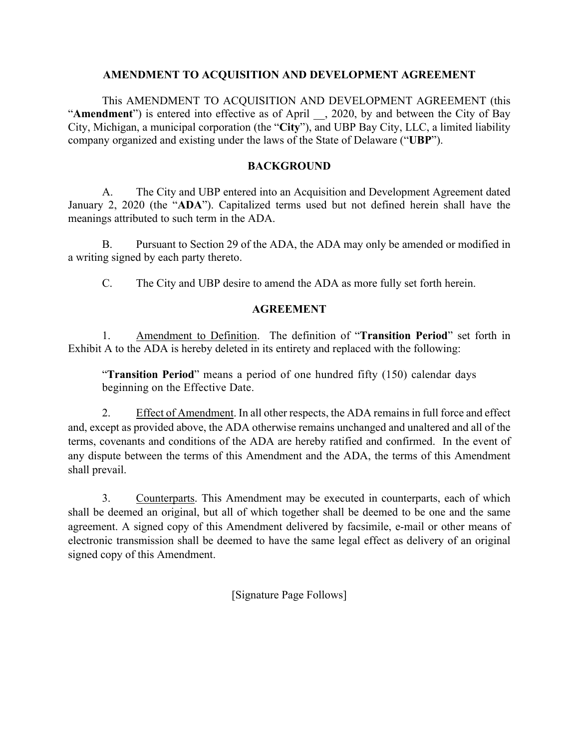### **AMENDMENT TO ACQUISITION AND DEVELOPMENT AGREEMENT**

This AMENDMENT TO ACQUISITION AND DEVELOPMENT AGREEMENT (this "**Amendment**") is entered into effective as of April \_\_, 2020, by and between the City of Bay City, Michigan, a municipal corporation (the "**City**"), and UBP Bay City, LLC, a limited liability company organized and existing under the laws of the State of Delaware ("**UBP**").

## **BACKGROUND**

A. The City and UBP entered into an Acquisition and Development Agreement dated January 2, 2020 (the "**ADA**"). Capitalized terms used but not defined herein shall have the meanings attributed to such term in the ADA.

B. Pursuant to Section 29 of the ADA, the ADA may only be amended or modified in a writing signed by each party thereto.

C. The City and UBP desire to amend the ADA as more fully set forth herein.

# **AGREEMENT**

1. Amendment to Definition. The definition of "**Transition Period**" set forth in Exhibit A to the ADA is hereby deleted in its entirety and replaced with the following:

"**Transition Period**" means a period of one hundred fifty (150) calendar days beginning on the Effective Date.

2. Effect of Amendment. In all other respects, the ADA remains in full force and effect and, except as provided above, the ADA otherwise remains unchanged and unaltered and all of the terms, covenants and conditions of the ADA are hereby ratified and confirmed. In the event of any dispute between the terms of this Amendment and the ADA, the terms of this Amendment shall prevail.

3. Counterparts. This Amendment may be executed in counterparts, each of which shall be deemed an original, but all of which together shall be deemed to be one and the same agreement. A signed copy of this Amendment delivered by facsimile, e-mail or other means of electronic transmission shall be deemed to have the same legal effect as delivery of an original signed copy of this Amendment.

[Signature Page Follows]